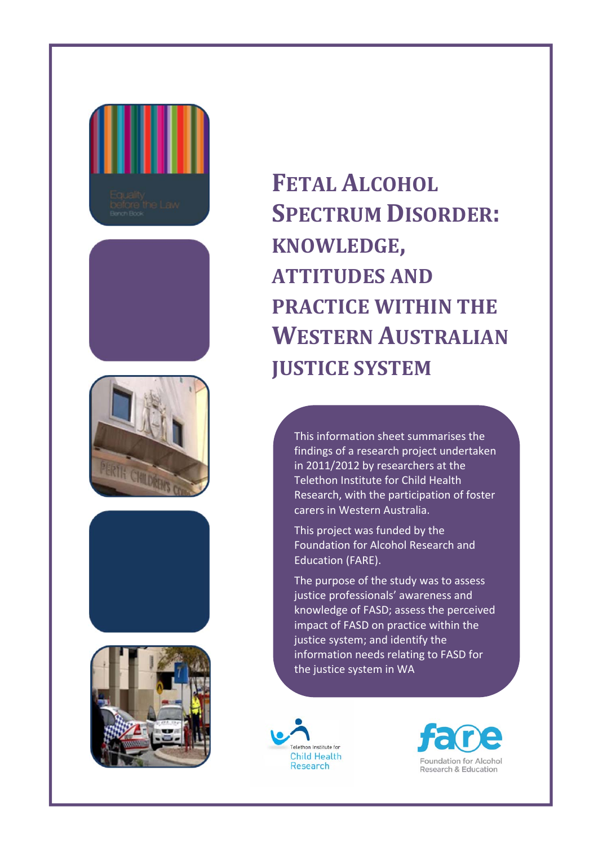









**FETAL ALCOHOL SPECTRUM DISORDER: KNOWLEDGE, ATTITUDES AND PRACTICE WITHIN THE WESTERN AUSTRALIAN JUSTICE SYSTEM**

This information sheet summarises the findings of a research project undertaken in 2011/2012 by researchers at the Telethon Institute for Child Health Research, with the participation of foster carers in Western Australia.

This project was funded by the Foundation for Alcohol Research and Education (FARE).

The purpose of the study was to assess justice professionals' awareness and knowledge of FASD; assess the perceived impact of FASD on practice within the justice system; and identify the information needs relating to FASD for the justice system in WA



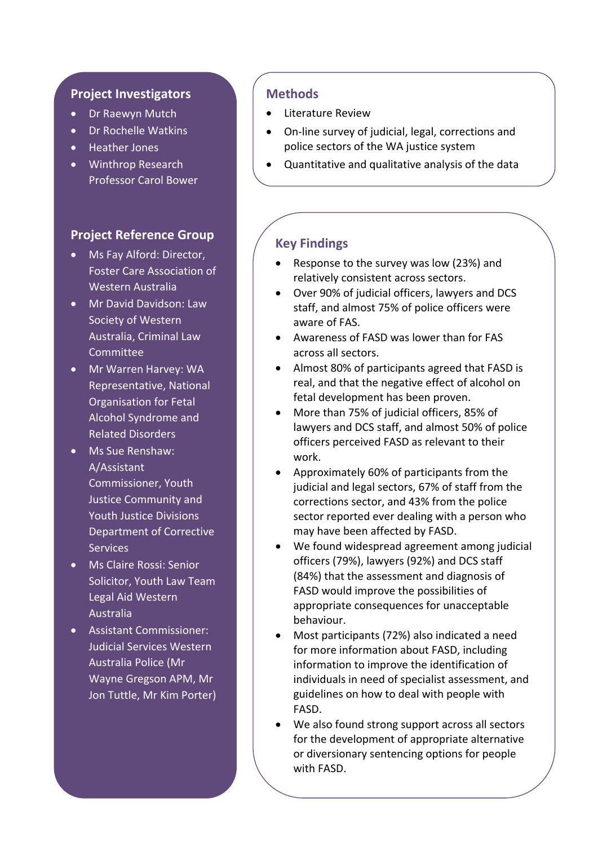#### **Project Investigators**

- Dr Raewyn Mutch
- Dr Rochelle Watkins
- Heather Jones
- Winthrop Research Professor Carol Bower

## **Project Reference Group**

- Ms Fay Alford: Director, Foster Care Association of Western Australia
- **Mr David Davidson: Law** Society of Western Australia, Criminal Law Committee
- Mr Warren Harvey: WA Representative, National Organisation for Fetal Alcohol Syndrome and Related Disorders
- Ms Sue Renshaw: A/Assistant Commissioner, Youth Justice Community and Youth Justice Divisions Department of Corrective **Services**
- **Ms Claire Rossi: Senior** Solicitor, Youth Law Team Legal Aid Western Australia
- Assistant Commissioner: Judicial Services Western Australia Police (Mr Wayne Gregson APM, Mr Jon Tuttle, Mr Kim Porter)

## **Methods**

- Literature Review
- On-line survey of judicial, legal, corrections and police sectors of the WA justice system
- Quantitative and qualitative analysis of the data

# **Key Findings**

- Response to the survey was low (23%) and relatively consistent across sectors.
- Over 90% of judicial officers, lawyers and DCS staff, and almost 75% of police officers were aware of FAS.
- Awareness of FASD was lower than for FAS across all sectors.
- Almost 80% of participants agreed that FASD is real, and that the negative effect of alcohol on fetal development has been proven.
- More than 75% of judicial officers, 85% of lawyers and DCS staff, and almost 50% of police officers perceived FASD as relevant to their work.
- Approximately 60% of participants from the judicial and legal sectors, 67% of staff from the corrections sector, and 43% from the police sector reported ever dealing with a person who may have been affected by FASD.
- We found widespread agreement among judicial officers (79%), lawyers (92%) and DCS staff (84%) that the assessment and diagnosis of FASD would improve the possibilities of appropriate consequences for unacceptable behaviour.
- Most participants (72%) also indicated a need for more information about FASD, including information to improve the identification of individuals in need of specialist assessment, and guidelines on how to deal with people with FASD.
- We also found strong support across all sectors for the development of appropriate alternative or diversionary sentencing options for people with FASD.